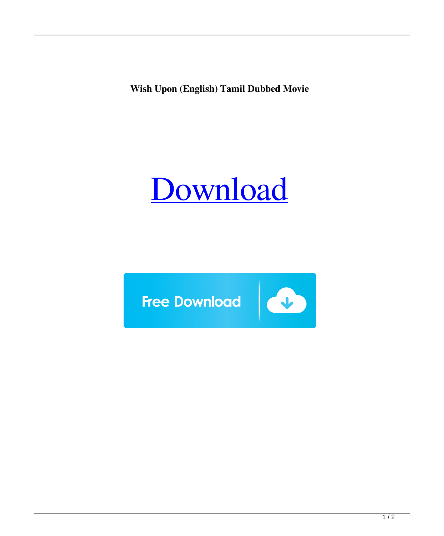**Wish Upon (English) Tamil Dubbed Movie**